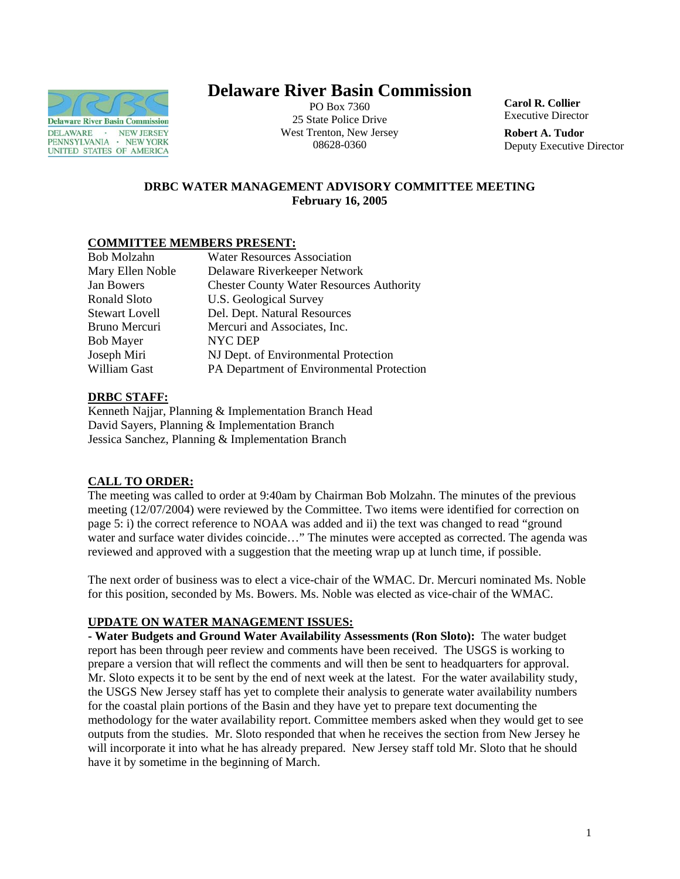

# **Delaware River Basin Commission**

PO Box 7360 25 State Police Drive West Trenton, New Jersey 08628-0360

**Carol R. Collier** Executive Director

**Robert A. Tudor**  Deputy Executive Director

# **DRBC WATER MANAGEMENT ADVISORY COMMITTEE MEETING February 16, 2005**

# **COMMITTEE MEMBERS PRESENT:**

| <b>Bob Molzahn</b>   | <b>Water Resources Association</b>              |
|----------------------|-------------------------------------------------|
| Mary Ellen Noble     | Delaware Riverkeeper Network                    |
| Jan Bowers           | <b>Chester County Water Resources Authority</b> |
| Ronald Sloto         | U.S. Geological Survey                          |
| Stewart Lovell       | Del. Dept. Natural Resources                    |
| <b>Bruno Mercuri</b> | Mercuri and Associates, Inc.                    |
| <b>Bob Mayer</b>     | NYC DEP                                         |
| Joseph Miri          | NJ Dept. of Environmental Protection            |
| William Gast         | PA Department of Environmental Protection       |

# **DRBC STAFF:**

Kenneth Najjar, Planning & Implementation Branch Head David Sayers, Planning & Implementation Branch Jessica Sanchez, Planning & Implementation Branch

# **CALL TO ORDER:**

The meeting was called to order at 9:40am by Chairman Bob Molzahn. The minutes of the previous meeting (12/07/2004) were reviewed by the Committee. Two items were identified for correction on page 5: i) the correct reference to NOAA was added and ii) the text was changed to read "ground water and surface water divides coincide…" The minutes were accepted as corrected. The agenda was reviewed and approved with a suggestion that the meeting wrap up at lunch time, if possible.

The next order of business was to elect a vice-chair of the WMAC. Dr. Mercuri nominated Ms. Noble for this position, seconded by Ms. Bowers. Ms. Noble was elected as vice-chair of the WMAC.

# **UPDATE ON WATER MANAGEMENT ISSUES:**

**- Water Budgets and Ground Water Availability Assessments (Ron Sloto):** The water budget report has been through peer review and comments have been received. The USGS is working to prepare a version that will reflect the comments and will then be sent to headquarters for approval. Mr. Sloto expects it to be sent by the end of next week at the latest. For the water availability study, the USGS New Jersey staff has yet to complete their analysis to generate water availability numbers for the coastal plain portions of the Basin and they have yet to prepare text documenting the methodology for the water availability report. Committee members asked when they would get to see outputs from the studies. Mr. Sloto responded that when he receives the section from New Jersey he will incorporate it into what he has already prepared. New Jersey staff told Mr. Sloto that he should have it by sometime in the beginning of March.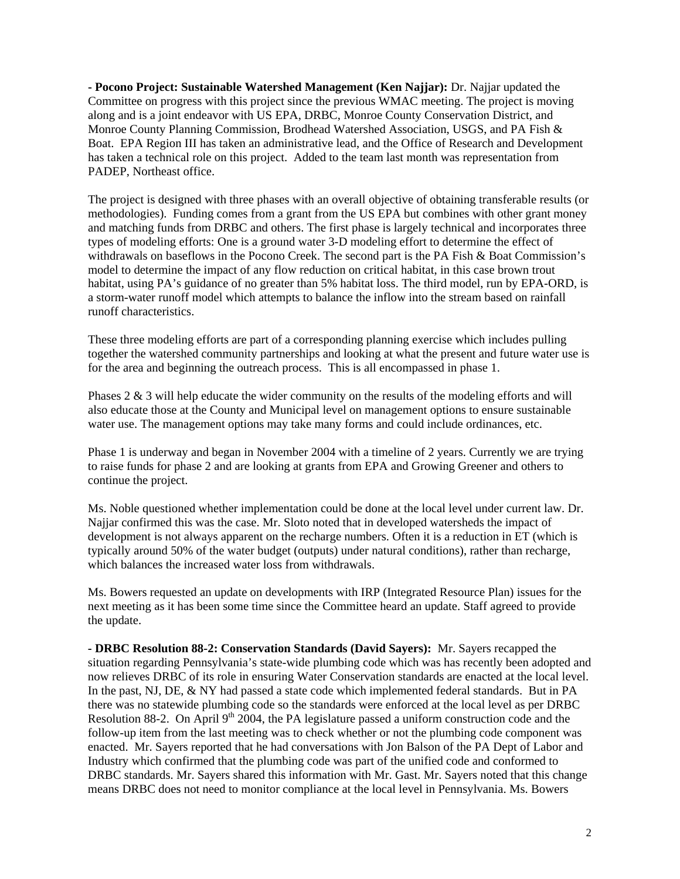**- Pocono Project: Sustainable Watershed Management (Ken Najjar):** Dr. Najjar updated the Committee on progress with this project since the previous WMAC meeting. The project is moving along and is a joint endeavor with US EPA, DRBC, Monroe County Conservation District, and Monroe County Planning Commission, Brodhead Watershed Association, USGS, and PA Fish & Boat. EPA Region III has taken an administrative lead, and the Office of Research and Development has taken a technical role on this project. Added to the team last month was representation from PADEP, Northeast office.

The project is designed with three phases with an overall objective of obtaining transferable results (or methodologies). Funding comes from a grant from the US EPA but combines with other grant money and matching funds from DRBC and others. The first phase is largely technical and incorporates three types of modeling efforts: One is a ground water 3-D modeling effort to determine the effect of withdrawals on baseflows in the Pocono Creek. The second part is the PA Fish & Boat Commission's model to determine the impact of any flow reduction on critical habitat, in this case brown trout habitat, using PA's guidance of no greater than 5% habitat loss. The third model, run by EPA-ORD, is a storm-water runoff model which attempts to balance the inflow into the stream based on rainfall runoff characteristics.

These three modeling efforts are part of a corresponding planning exercise which includes pulling together the watershed community partnerships and looking at what the present and future water use is for the area and beginning the outreach process. This is all encompassed in phase 1.

Phases 2 & 3 will help educate the wider community on the results of the modeling efforts and will also educate those at the County and Municipal level on management options to ensure sustainable water use. The management options may take many forms and could include ordinances, etc.

Phase 1 is underway and began in November 2004 with a timeline of 2 years. Currently we are trying to raise funds for phase 2 and are looking at grants from EPA and Growing Greener and others to continue the project.

Ms. Noble questioned whether implementation could be done at the local level under current law. Dr. Najjar confirmed this was the case. Mr. Sloto noted that in developed watersheds the impact of development is not always apparent on the recharge numbers. Often it is a reduction in ET (which is typically around 50% of the water budget (outputs) under natural conditions), rather than recharge, which balances the increased water loss from withdrawals.

Ms. Bowers requested an update on developments with IRP (Integrated Resource Plan) issues for the next meeting as it has been some time since the Committee heard an update. Staff agreed to provide the update.

**- DRBC Resolution 88-2: Conservation Standards (David Sayers):** Mr. Sayers recapped the situation regarding Pennsylvania's state-wide plumbing code which was has recently been adopted and now relieves DRBC of its role in ensuring Water Conservation standards are enacted at the local level. In the past, NJ, DE, & NY had passed a state code which implemented federal standards. But in PA there was no statewide plumbing code so the standards were enforced at the local level as per DRBC Resolution 88-2. On April  $9<sup>th</sup>$  2004, the PA legislature passed a uniform construction code and the follow-up item from the last meeting was to check whether or not the plumbing code component was enacted. Mr. Sayers reported that he had conversations with Jon Balson of the PA Dept of Labor and Industry which confirmed that the plumbing code was part of the unified code and conformed to DRBC standards. Mr. Sayers shared this information with Mr. Gast. Mr. Sayers noted that this change means DRBC does not need to monitor compliance at the local level in Pennsylvania. Ms. Bowers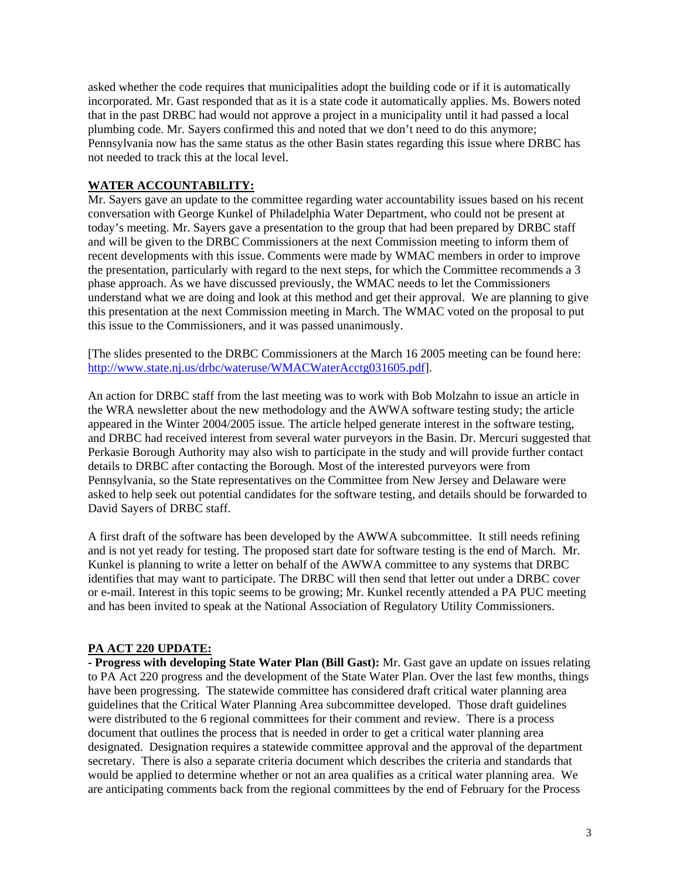asked whether the code requires that municipalities adopt the building code or if it is automatically incorporated. Mr. Gast responded that as it is a state code it automatically applies. Ms. Bowers noted that in the past DRBC had would not approve a project in a municipality until it had passed a local plumbing code. Mr. Sayers confirmed this and noted that we don't need to do this anymore; Pennsylvania now has the same status as the other Basin states regarding this issue where DRBC has not needed to track this at the local level.

#### **WATER ACCOUNTABILITY:**

Mr. Sayers gave an update to the committee regarding water accountability issues based on his recent conversation with George Kunkel of Philadelphia Water Department, who could not be present at today's meeting. Mr. Sayers gave a presentation to the group that had been prepared by DRBC staff and will be given to the DRBC Commissioners at the next Commission meeting to inform them of recent developments with this issue. Comments were made by WMAC members in order to improve the presentation, particularly with regard to the next steps, for which the Committee recommends a 3 phase approach. As we have discussed previously, the WMAC needs to let the Commissioners understand what we are doing and look at this method and get their approval. We are planning to give this presentation at the next Commission meeting in March. The WMAC voted on the proposal to put this issue to the Commissioners, and it was passed unanimously.

[The slides presented to the DRBC Commissioners at the March 16 2005 meeting can be found here: [http://www.state.nj.us/drbc/wateruse/WMACWaterAcctg031605.pdf\]](http://www.state.nj.us/drbc/wateruse/WMACWaterAcctg031605.pdf).

An action for DRBC staff from the last meeting was to work with Bob Molzahn to issue an article in the WRA newsletter about the new methodology and the AWWA software testing study; the article appeared in the Winter 2004/2005 issue. The article helped generate interest in the software testing, and DRBC had received interest from several water purveyors in the Basin. Dr. Mercuri suggested that Perkasie Borough Authority may also wish to participate in the study and will provide further contact details to DRBC after contacting the Borough. Most of the interested purveyors were from Pennsylvania, so the State representatives on the Committee from New Jersey and Delaware were asked to help seek out potential candidates for the software testing, and details should be forwarded to David Sayers of DRBC staff.

A first draft of the software has been developed by the AWWA subcommittee. It still needs refining and is not yet ready for testing. The proposed start date for software testing is the end of March. Mr. Kunkel is planning to write a letter on behalf of the AWWA committee to any systems that DRBC identifies that may want to participate. The DRBC will then send that letter out under a DRBC cover or e-mail. Interest in this topic seems to be growing; Mr. Kunkel recently attended a PA PUC meeting and has been invited to speak at the National Association of Regulatory Utility Commissioners.

#### **PA ACT 220 UPDATE:**

**- Progress with developing State Water Plan (Bill Gast):** Mr. Gast gave an update on issues relating to PA Act 220 progress and the development of the State Water Plan. Over the last few months, things have been progressing. The statewide committee has considered draft critical water planning area guidelines that the Critical Water Planning Area subcommittee developed. Those draft guidelines were distributed to the 6 regional committees for their comment and review. There is a process document that outlines the process that is needed in order to get a critical water planning area designated. Designation requires a statewide committee approval and the approval of the department secretary. There is also a separate criteria document which describes the criteria and standards that would be applied to determine whether or not an area qualifies as a critical water planning area. We are anticipating comments back from the regional committees by the end of February for the Process